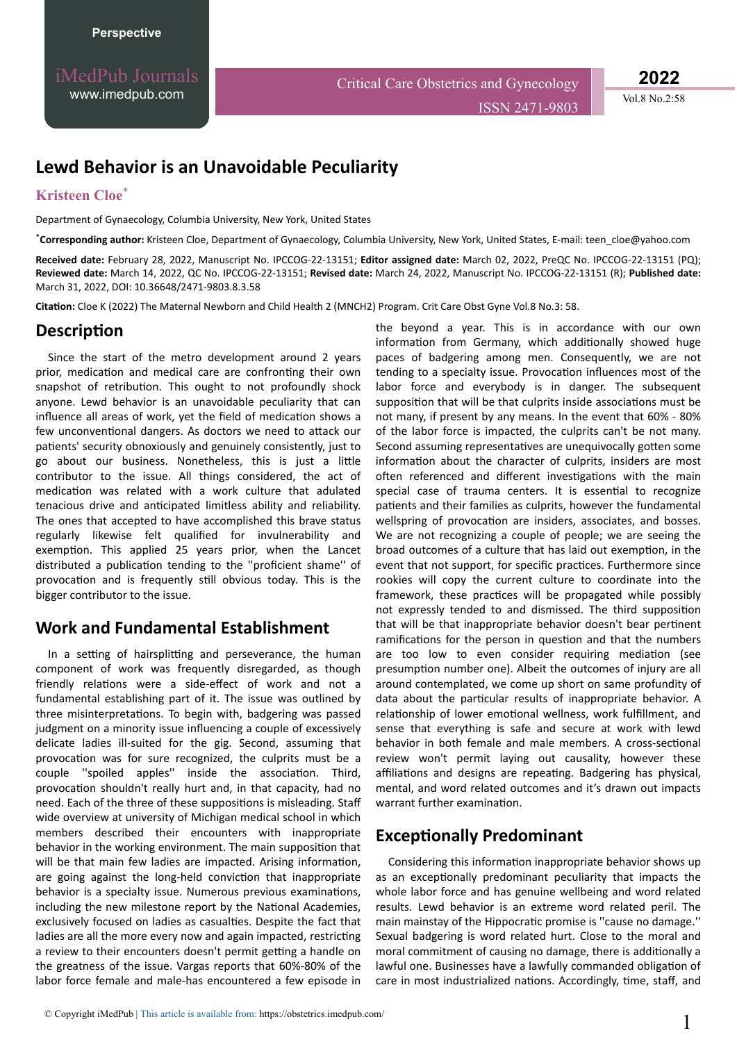iMedPub Journals [www.imedpub.com](http://www.imedpub.com/)

Critical Care Obstetrics and Gynecology ISSN 2471-9803 **2022**

Vol.8 No.2:58

# **Lewd Behavior is an Unavoidable Peculiarity**

#### **Kristeen Cloe**\*

Department of Gynaecology, Columbia University, New York, United States

\***Corresponding author:** Kristeen Cloe, Department of Gynaecology, Columbia University, New York, United States, E-mail: teen\_cloe@yahoo.com

**Received date:** February 28, 2022, Manuscript No. IPCCOG-22-13151; **Editor assigned date:** March 02, 2022, PreQC No. IPCCOG-22-13151 (PQ); **Reviewed date:** March 14, 2022, QC No. IPCCOG-22-13151; **Revised date:** March 24, 2022, Manuscript No. IPCCOG-22-13151 (R); **Published date:** March 31, 2022, DOI: 10.36648/2471-9803.8.3.58

Citation: Cloe K (2022) The Maternal Newborn and Child Health 2 (MNCH2) Program. Crit Care Obst Gyne Vol.8 No.3: 58.

## **Description**

Since the start of the metro development around 2 years prior, medication and medical care are confronting their own snapshot of retribution. This ought to not profoundly shock anyone. Lewd behavior is an unavoidable peculiarity that can influence all areas of work, yet the field of medication shows a few unconventional dangers. As doctors we need to attack our patients' security obnoxiously and genuinely consistently, just to go about our business. Nonetheless, this is just a little contributor to the issue. All things considered, the act of medication was related with a work culture that adulated tenacious drive and anticipated limitless ability and reliability. The ones that accepted to have accomplished this brave status regularly likewise felt qualified for invulnerability and exemption. This applied 25 years prior, when the Lancet distributed a publication tending to the "proficient shame" of provocation and is frequently still obvious today. This is the bigger contributor to the issue.

### **Work and Fundamental Establishment**

In a setting of hairsplitting and perseverance, the human component of work was frequently disregarded, as though friendly relations were a side-effect of work and not a fundamental establishing part of it. The issue was outlined by three misinterpretations. To begin with, badgering was passed judgment on a minority issue influencing a couple of excessively delicate ladies ill-suited for the gig. Second, assuming that provocation was for sure recognized, the culprits must be a couple "spoiled apples" inside the association. Third, provocation shouldn't really hurt and, in that capacity, had no need. Each of the three of these suppositions is misleading. Staff wide overview at university of Michigan medical school in which members described their encounters with inappropriate behavior in the working environment. The main supposition that will be that main few ladies are impacted. Arising information, are going against the long-held conviction that inappropriate behavior is a specialty issue. Numerous previous examinations, including the new milestone report by the National Academies, exclusively focused on ladies as casualties. Despite the fact that ladies are all the more every now and again impacted, restricting a review to their encounters doesn't permit getting a handle on the greatness of the issue. Vargas reports that 60%-80% of the labor force female and male-has encountered a few episode in

the beyond a year. This is in accordance with our own information from Germany, which additionally showed huge paces of badgering among men. Consequently, we are not tending to a specialty issue. Provocation influences most of the labor force and everybody is in danger. The subsequent supposition that will be that culprits inside associations must be not many, if present by any means. In the event that 60% - 80% of the labor force is impacted, the culprits can't be not many. Second assuming representatives are unequivocally gotten some information about the character of culprits, insiders are most often referenced and different investigations with the main special case of trauma centers. It is essential to recognize patients and their families as culprits, however the fundamental wellspring of provocation are insiders, associates, and bosses. We are not recognizing a couple of people; we are seeing the broad outcomes of a culture that has laid out exemption, in the event that not support, for specific practices. Furthermore since rookies will copy the current culture to coordinate into the framework, these practices will be propagated while possibly not expressly tended to and dismissed. The third supposition that will be that inappropriate behavior doesn't bear pertinent ramifications for the person in question and that the numbers are too low to even consider requiring mediation (see presumption number one). Albeit the outcomes of injury are all around contemplated, we come up short on same profundity of data about the particular results of inappropriate behavior. A relationship of lower emotional wellness, work fulfillment, and sense that everything is safe and secure at work with lewd behavior in both female and male members. A cross-sectional review won't permit laying out causality, however these affiliations and designs are repeating. Badgering has physical, mental, and word related outcomes and it's drawn out impacts warrant further examination.

### **Exceptionally Predominant**

Considering this information inappropriate behavior shows up as an exceptionally predominant peculiarity that impacts the whole labor force and has genuine wellbeing and word related results. Lewd behavior is an extreme word related peril. The main mainstay of the Hippocratic promise is "cause no damage." Sexual badgering is word related hurt. Close to the moral and moral commitment of causing no damage, there is additionally a lawful one. Businesses have a lawfully commanded obligation of care in most industrialized nations. Accordingly, time, staff, and